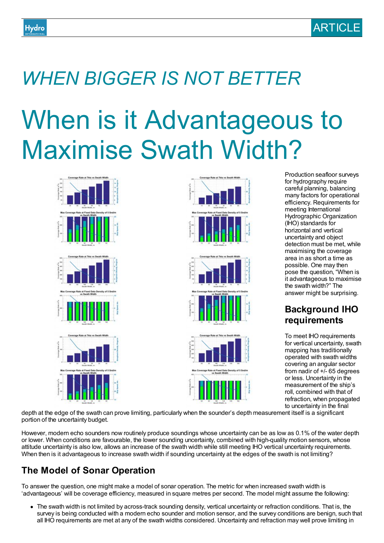# *WHEN BIGGER IS NOT BETTER*

# When is it Advantageous to Maximise Swath Width?







Production seafloor surveys for hydrography require careful planning, balancing many factors for operational efficiency. Requirements for meeting International Hydrographic Organization (IHO) standards for horizontal and vertical uncertainty and object detection must be met, while maximising the coverage area in as short a time as possible. One may then pose the question, "When is it advantageous to maximise the swath width?" The answer might be surprising.

### **Background IHO requirements**

To meet IHO requirements for vertical uncertainty, swath mapping has traditionally operated with swath widths covering an angular sector from nadir of +/- 65 degrees or less. Uncertainty in the measurement of the ship's roll, combined with that of refraction, when propagated to uncertainty in the final

depth at the edge of the swath can prove limiting, particularly when the sounder's depth measurement itself is a significant portion of the uncertainty budget.

However, modern echo sounders now routinely produce soundings whose uncertainty can be as low as 0.1% of the water depth or lower. When conditions are favourable, the lower sounding uncertainty, combined with high-quality motion sensors, whose attitude uncertainty is also low, allows an increase of the swath width while still meeting IHO vertical uncertainty requirements. When then is it advantageous to increase swath width if sounding uncertainty at the edges of the swath is not limiting?

## **The Model of Sonar Operation**

To answer the question, one might make a model of sonar operation. The metric for when increased swath width is 'advantageous' will be coverage efficiency, measured in square metres per second. The model might assume the following:

The swath width is not limited by across-track sounding density, vertical uncertainty or refraction conditions. That is, the survey is being conducted with a modern echo sounder and motion sensor, and the survey conditions are benign, such that all IHO requirements are met at any of the swath widths considered. Uncertainty and refraction may well prove limiting in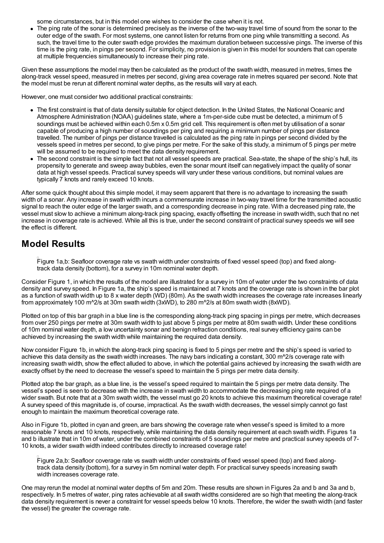some circumstances, but in this model one wishes to consider the case when it is not.

The ping rate of the sonar is determined precisely as the inverse of the two-way travel time of sound from the sonar to the outer edge of the swath. For most systems, one cannot listen for returns from one ping while transmitting a second. As such, the travel time to the outer swath edge provides the maximum duration between successive pings. The inverse of this time is the ping rate, in pings per second. For simplicity, no provision is given in this model for sounders that can operate at multiple frequencies simultaneously to increase their ping rate.

Given these assumptions the model may then be calculated as the product of the swath width, measured in metres, times the along-track vessel speed, measured in metres per second, giving area coverage rate in metres squared per second. Note that the model must be rerun at different nominal water depths, as the results will vary at each.

However, one must consider two additional practical constraints:

- The first constraint is that of data density suitable for object detection. In the United States, the National Oceanic and Atmosphere Administration (NOAA) guidelines state, where a 1m-per-side cube must be detected, a minimum of 5 soundings must be achieved within each 0.5m x 0.5m grid cell. This requirement is often met by utilisation of a sonar capable of producing a high number of soundings per ping and requiring a minimum number of pings per distance travelled. The number of pings per distance travelled is calculated as the ping rate in pings per second divided by the vessels speed in metres per second, to give pings per metre. For the sake of this study, a minimum of 5 pings per metre will be assumed to be required to meet the data density requirement.
- The second constraint is the simple fact that not all vessel speeds are practical. Sea-state, the shape of the ship's hull, its propensity to generate and sweep away bubbles, even the sonar mount itself can negatively impact the quality of sonar data at high vessel speeds. Practical survey speeds will vary under these various conditions, but nominal values are typically 7 knots and rarely exceed 10 knots.

After some quick thought about this simple model, it may seem apparent that there is no advantage to increasing the swath width of a sonar. Any increase in swath width incurs a commensurate increase in two-way travel time for the transmitted acoustic signal to reach the outer edge of the larger swath, and a corresponding decrease in ping rate. With a decreased ping rate, the vessel must slow to achieve a minimum along-track ping spacing, exactly offsetting the increase in swath width, such that no net increase in coverage rate is achieved. While all this is true, under the second constraint of practical survey speeds we will see the effect is different.

#### **Model Results**

Figure 1a,b: Seafloor coverage rate vs swath width under constraints of fixed vessel speed (top) and fixed alongtrack data density (bottom), for a survey in 10m nominal water depth.

Consider Figure 1, in which the results of the model are illustrated for a survey in 10m of water under the two constraints of data density and survey speed. In Figure 1a, the ship's speed is maintained at 7 knots and the coverage rate is shown in the bar plot as a function of swath width up to 8 x water depth (WD) (80m). As the swath width increases the coverage rate increases linearly from approximately 100 m^2/s at 30m swath width (3xWD), to 280 m^2/s at 80m swath width (8xWD).

Plotted on top of this bar graph in a blue line is the corresponding along-track ping spacing in pings per metre, which decreases from over 250 pings per metre at 30m swath width to just above 5 pings per metre at 80m swath width. Under these conditions of 10m nominal water depth, a low uncertainty sonar and benign refraction conditions, real survey efficiency gains can be achieved by increasing the swath width while maintaining the required data density.

Now consider Figure 1b, in which the along-track ping spacing is fixed to 5 pings per metre and the ship's speed is varied to achieve this data density as the swath width increases. The naw bars indicating a constant,  $300 \text{ m}^2$ /s coverage rate with increasing swath width, show the effect alluded to above, in which the potential gains achieved by increasing the swath width are exactly offset by the need to decrease the vessel's speed to maintain the 5 pings per metre data density.

Plotted atop the bar graph, as a blue line, is the vessel's speed required to maintain the 5 pings per metre data density. The vessel's speed is seen to decrease with the increase in swath width to accommodate the decreasing ping rate required of a wider swath. But note that at a 30m swath width, the vessel must go 20 knots to achieve this maximum theoretical coverage rate! A survey speed of this magnitude is, of course, impractical. As the swath width decreases, the vessel simply cannot go fast enough to maintain the maximum theoretical coverage rate.

Also in Figure 1b, plotted in cyan and green, are bars showing the coverage rate when vessel's speed is limited to a more reasonable 7 knots and 10 knots, respectively, while maintaining the data density requirement at each swath width. Figures 1a and b illustrate that in 10m of water, under the combined constraints of 5 soundings per metre and practical survey speeds of 7- 10 knots, a wider swath width indeed contributes directly to increased coverage rate!

Figure 2a,b: Seafloor coverage rate vs swath width under constraints of fixed vessel speed (top) and fixed alongtrack data density (bottom), for a survey in 5m nominal water depth. For practical survey speeds increasing swath width increases coverage rate.

One may rerun the model at nominal water depths of 5m and 20m. These results are shown in Figures 2a and b and 3a and b, respectively. In 5 metres of water, ping rates achievable at all swath widths considered are so high that meeting the along-track data density requirement is never a constraint for vessel speeds below 10 knots. Therefore, the wider the swath width (and faster the vessel) the greater the coverage rate.